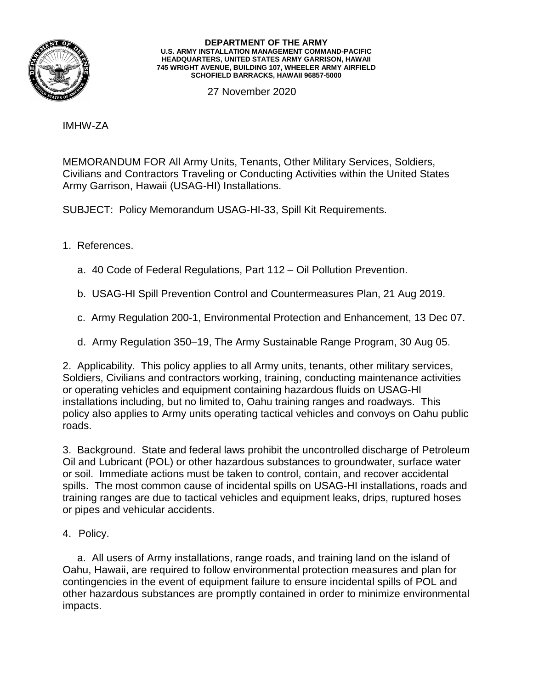

## **DEPARTMENT OF THE ARMY U.S. ARMY INSTALLATION MANAGEMENT COMMAND-PACIFIC HEADQUARTERS, UNITED STATES ARMY GARRISON, HAWAII 745 WRIGHT AVENUE, BUILDING 107, WHEELER ARMY AIRFIELD SCHOFIELD BARRACKS, HAWAII 96857-5000**

27 November 2020

IMHW-ZA

MEMORANDUM FOR All Army Units, Tenants, Other Military Services, Soldiers, Civilians and Contractors Traveling or Conducting Activities within the United States Army Garrison, Hawaii (USAG-HI) Installations.

SUBJECT: Policy Memorandum USAG-HI-33, Spill Kit Requirements.

- 1. References.
	- a. 40 Code of Federal Regulations, Part 112 Oil Pollution Prevention.
	- b. USAG-HI Spill Prevention Control and Countermeasures Plan, 21 Aug 2019.
	- c. Army Regulation 200-1, Environmental Protection and Enhancement, 13 Dec 07.
	- d. Army Regulation 350–19, The Army Sustainable Range Program, 30 Aug 05.

2. Applicability. This policy applies to all Army units, tenants, other military services, Soldiers, Civilians and contractors working, training, conducting maintenance activities or operating vehicles and equipment containing hazardous fluids on USAG-HI installations including, but no limited to, Oahu training ranges and roadways. This policy also applies to Army units operating tactical vehicles and convoys on Oahu public roads.

3. Background. State and federal laws prohibit the uncontrolled discharge of Petroleum Oil and Lubricant (POL) or other hazardous substances to groundwater, surface water or soil. Immediate actions must be taken to control, contain, and recover accidental spills. The most common cause of incidental spills on USAG-HI installations, roads and training ranges are due to tactical vehicles and equipment leaks, drips, ruptured hoses or pipes and vehicular accidents.

4. Policy.

 a. All users of Army installations, range roads, and training land on the island of Oahu, Hawaii, are required to follow environmental protection measures and plan for contingencies in the event of equipment failure to ensure incidental spills of POL and other hazardous substances are promptly contained in order to minimize environmental impacts.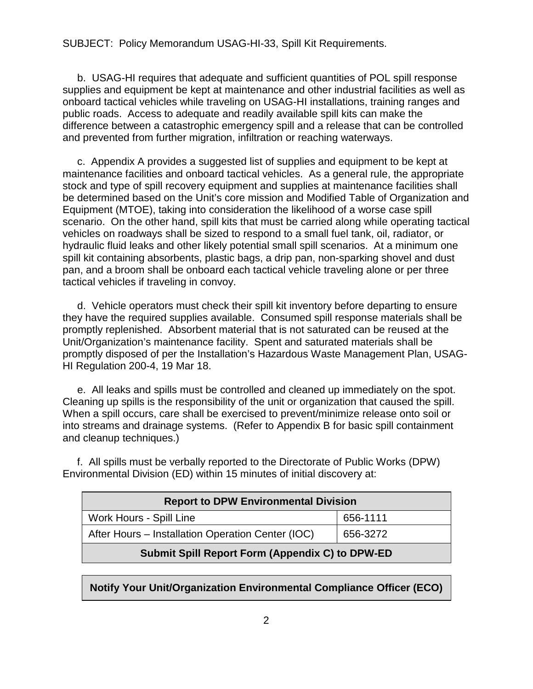## SUBJECT: Policy Memorandum USAG-HI-33, Spill Kit Requirements.

 b. USAG-HI requires that adequate and sufficient quantities of POL spill response supplies and equipment be kept at maintenance and other industrial facilities as well as onboard tactical vehicles while traveling on USAG-HI installations, training ranges and public roads. Access to adequate and readily available spill kits can make the difference between a catastrophic emergency spill and a release that can be controlled and prevented from further migration, infiltration or reaching waterways.

 c. Appendix A provides a suggested list of supplies and equipment to be kept at maintenance facilities and onboard tactical vehicles. As a general rule, the appropriate stock and type of spill recovery equipment and supplies at maintenance facilities shall be determined based on the Unit's core mission and Modified Table of Organization and Equipment (MTOE), taking into consideration the likelihood of a worse case spill scenario. On the other hand, spill kits that must be carried along while operating tactical vehicles on roadways shall be sized to respond to a small fuel tank, oil, radiator, or hydraulic fluid leaks and other likely potential small spill scenarios. At a minimum one spill kit containing absorbents, plastic bags, a drip pan, non-sparking shovel and dust pan, and a broom shall be onboard each tactical vehicle traveling alone or per three tactical vehicles if traveling in convoy.

 d. Vehicle operators must check their spill kit inventory before departing to ensure they have the required supplies available. Consumed spill response materials shall be promptly replenished. Absorbent material that is not saturated can be reused at the Unit/Organization's maintenance facility. Spent and saturated materials shall be promptly disposed of per the Installation's Hazardous Waste Management Plan, USAG-HI Regulation 200-4, 19 Mar 18.

 e. All leaks and spills must be controlled and cleaned up immediately on the spot. Cleaning up spills is the responsibility of the unit or organization that caused the spill. When a spill occurs, care shall be exercised to prevent/minimize release onto soil or into streams and drainage systems. (Refer to Appendix B for basic spill containment and cleanup techniques.)

 f. All spills must be verbally reported to the Directorate of Public Works (DPW) Environmental Division (ED) within 15 minutes of initial discovery at:

| <b>Report to DPW Environmental Division</b>            |          |
|--------------------------------------------------------|----------|
| Work Hours - Spill Line                                | 656-1111 |
| After Hours - Installation Operation Center (IOC)      | 656-3272 |
| <b>Submit Spill Report Form (Appendix C) to DPW-ED</b> |          |

**Notify Your Unit/Organization Environmental Compliance Officer (ECO)**